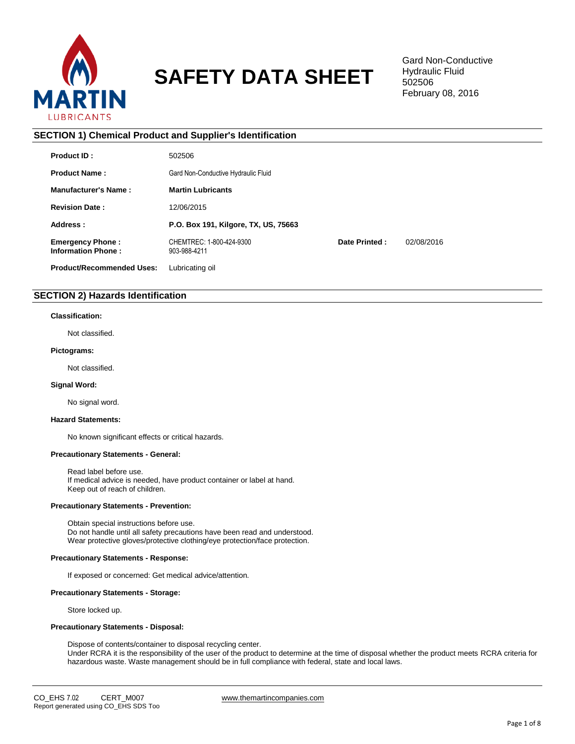

# **SAFETY DATA SHEET**

Gard Non-Conductive Hydraulic Fluid 502506 February 08, 2016

**SECTION 1) Chemical Product and Supplier's Identification Product ID :** 502506 **Product Name :** Gard Non-Conductive Hydraulic Fluid **Manufacturer's Name : Martin Lubricants Revision Date :** 12/06/2015 **Address : P.O. Box 191, Kilgore, TX, US, 75663 Emergency Phone :** CHEMTREC: 1-800-424-9300 **Date Printed :** 02/08/2016 **Information Phone :** 903-988-4211 **Product/Recommended Uses:** Lubricating oil

# **SECTION 2) Hazards Identification**

## **Classification:**

Not classified.

# **Pictograms:**

Not classified.

#### **Signal Word:**

No signal word.

# **Hazard Statements:**

No known significant effects or critical hazards.

# **Precautionary Statements - General:**

Read label before use. If medical advice is needed, have product container or label at hand. Keep out of reach of children.

## **Precautionary Statements - Prevention:**

Obtain special instructions before use. Do not handle until all safety precautions have been read and understood. Wear protective gloves/protective clothing/eye protection/face protection.

# **Precautionary Statements - Response:**

If exposed or concerned: Get medical advice/attention.

#### **Precautionary Statements - Storage:**

Store locked up.

#### **Precautionary Statements - Disposal:**

Dispose of contents/container to disposal recycling center. Under RCRA it is the responsibility of the user of the product to determine at the time of disposal whether the product meets RCRA criteria for hazardous waste. Waste management should be in full compliance with federal, state and local laws.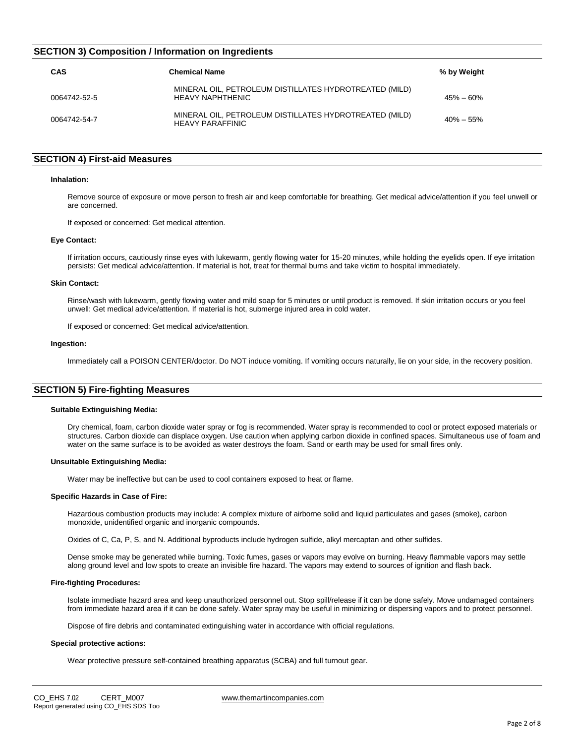# **SECTION 3) Composition / Information on Ingredients**

| CAS          | <b>Chemical Name</b>                                                              | % by Weight   |
|--------------|-----------------------------------------------------------------------------------|---------------|
| 0064742-52-5 | MINERAL OIL, PETROLEUM DISTILLATES HYDROTREATED (MILD)<br><b>HEAVY NAPHTHENIC</b> | $45\% - 60\%$ |
| 0064742-54-7 | MINERAL OIL, PETROLEUM DISTILLATES HYDROTREATED (MILD)<br><b>HEAVY PARAFFINIC</b> | $40\% - 55\%$ |

# **SECTION 4) First-aid Measures**

#### **Inhalation:**

Remove source of exposure or move person to fresh air and keep comfortable for breathing. Get medical advice/attention if you feel unwell or are concerned.

If exposed or concerned: Get medical attention.

## **Eye Contact:**

If irritation occurs, cautiously rinse eyes with lukewarm, gently flowing water for 15-20 minutes, while holding the eyelids open. If eye irritation persists: Get medical advice/attention. If material is hot, treat for thermal burns and take victim to hospital immediately.

# **Skin Contact:**

Rinse/wash with lukewarm, gently flowing water and mild soap for 5 minutes or until product is removed. If skin irritation occurs or you feel unwell: Get medical advice/attention. If material is hot, submerge injured area in cold water.

If exposed or concerned: Get medical advice/attention.

#### **Ingestion:**

Immediately call a POISON CENTER/doctor. Do NOT induce vomiting. If vomiting occurs naturally, lie on your side, in the recovery position.

# **SECTION 5) Fire-fighting Measures**

#### **Suitable Extinguishing Media:**

Dry chemical, foam, carbon dioxide water spray or fog is recommended. Water spray is recommended to cool or protect exposed materials or structures. Carbon dioxide can displace oxygen. Use caution when applying carbon dioxide in confined spaces. Simultaneous use of foam and water on the same surface is to be avoided as water destroys the foam. Sand or earth may be used for small fires only.

#### **Unsuitable Extinguishing Media:**

Water may be ineffective but can be used to cool containers exposed to heat or flame.

#### **Specific Hazards in Case of Fire:**

Hazardous combustion products may include: A complex mixture of airborne solid and liquid particulates and gases (smoke), carbon monoxide, unidentified organic and inorganic compounds.

Oxides of C, Ca, P, S, and N. Additional byproducts include hydrogen sulfide, alkyl mercaptan and other sulfides.

Dense smoke may be generated while burning. Toxic fumes, gases or vapors may evolve on burning. Heavy flammable vapors may settle along ground level and low spots to create an invisible fire hazard. The vapors may extend to sources of ignition and flash back.

### **Fire-fighting Procedures:**

Isolate immediate hazard area and keep unauthorized personnel out. Stop spill/release if it can be done safely. Move undamaged containers from immediate hazard area if it can be done safely. Water spray may be useful in minimizing or dispersing vapors and to protect personnel.

Dispose of fire debris and contaminated extinguishing water in accordance with official regulations.

#### **Special protective actions:**

Wear protective pressure self-contained breathing apparatus (SCBA) and full turnout gear.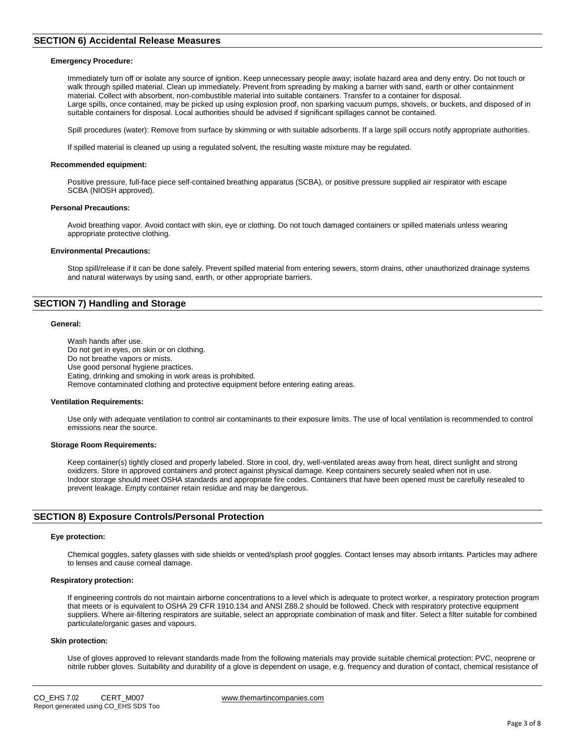# **SECTION 6) Accidental Release Measures**

#### **Emergency Procedure:**

Immediately turn off or isolate any source of ignition. Keep unnecessary people away; isolate hazard area and deny entry. Do not touch or walk through spilled material. Clean up immediately. Prevent from spreading by making a barrier with sand, earth or other containment material. Collect with absorbent, non-combustible material into suitable containers. Transfer to a container for disposal. Large spills, once contained, may be picked up using explosion proof, non sparking vacuum pumps, shovels, or buckets, and disposed of in suitable containers for disposal. Local authorities should be advised if significant spillages cannot be contained.

Spill procedures (water): Remove from surface by skimming or with suitable adsorbents. If a large spill occurs notify appropriate authorities.

If spilled material is cleaned up using a regulated solvent, the resulting waste mixture may be regulated.

#### **Recommended equipment:**

Positive pressure, full-face piece self-contained breathing apparatus (SCBA), or positive pressure supplied air respirator with escape SCBA (NIOSH approved).

#### **Personal Precautions:**

Avoid breathing vapor. Avoid contact with skin, eye or clothing. Do not touch damaged containers or spilled materials unless wearing appropriate protective clothing.

#### **Environmental Precautions:**

Stop spill/release if it can be done safely. Prevent spilled material from entering sewers, storm drains, other unauthorized drainage systems and natural waterways by using sand, earth, or other appropriate barriers.

# **SECTION 7) Handling and Storage**

#### **General:**

Wash hands after use. Do not get in eyes, on skin or on clothing. Do not breathe vapors or mists. Use good personal hygiene practices. Eating, drinking and smoking in work areas is prohibited. Remove contaminated clothing and protective equipment before entering eating areas.

#### **Ventilation Requirements:**

Use only with adequate ventilation to control air contaminants to their exposure limits. The use of local ventilation is recommended to control emissions near the source.

#### **Storage Room Requirements:**

Keep container(s) tightly closed and properly labeled. Store in cool, dry, well-ventilated areas away from heat, direct sunlight and strong oxidizers. Store in approved containers and protect against physical damage. Keep containers securely sealed when not in use. Indoor storage should meet OSHA standards and appropriate fire codes. Containers that have been opened must be carefully resealed to prevent leakage. Empty container retain residue and may be dangerous.

# **SECTION 8) Exposure Controls/Personal Protection**

#### **Eye protection:**

Chemical goggles, safety glasses with side shields or vented/splash proof goggles. Contact lenses may absorb irritants. Particles may adhere to lenses and cause corneal damage.

#### **Respiratory protection:**

If engineering controls do not maintain airborne concentrations to a level which is adequate to protect worker, a respiratory protection program that meets or is equivalent to OSHA 29 CFR 1910.134 and ANSI Z88.2 should be followed. Check with respiratory protective equipment suppliers. Where air-filtering respirators are suitable, select an appropriate combination of mask and filter. Select a filter suitable for combined particulate/organic gases and vapours.

#### **Skin protection:**

Use of gloves approved to relevant standards made from the following materials may provide suitable chemical protection: PVC, neoprene or nitrile rubber gloves. Suitability and durability of a glove is dependent on usage, e.g. frequency and duration of contact, chemical resistance of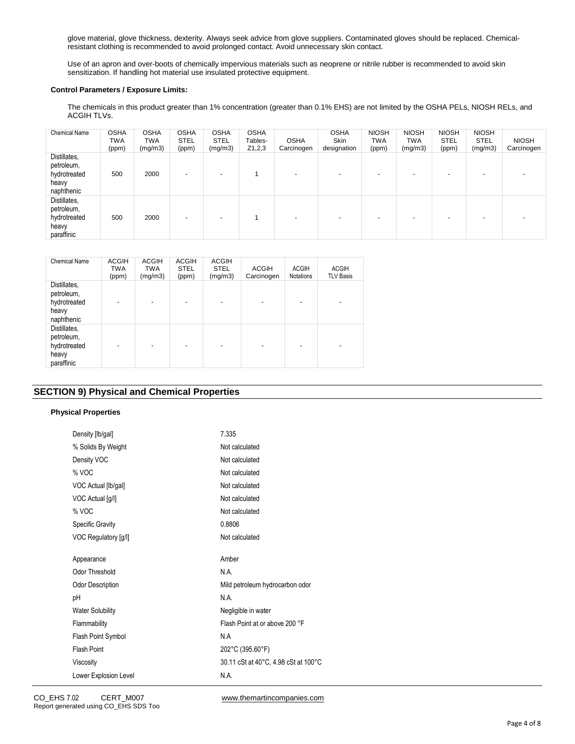glove material, glove thickness, dexterity. Always seek advice from glove suppliers. Contaminated gloves should be replaced. Chemicalresistant clothing is recommended to avoid prolonged contact. Avoid unnecessary skin contact.

Use of an apron and over-boots of chemically impervious materials such as neoprene or nitrile rubber is recommended to avoid skin sensitization. If handling hot material use insulated protective equipment.

# **Control Parameters / Exposure Limits:**

The chemicals in this product greater than 1% concentration (greater than 0.1% EHS) are not limited by the OSHA PELs, NIOSH RELs, and ACGIH TLVs.

| <b>Chemical Name</b>                                              | <b>OSHA</b><br>TWA<br>(ppm) | <b>OSHA</b><br>TWA<br>(mg/m3) | <b>OSHA</b><br><b>STEL</b><br>(ppm) | <b>OSHA</b><br><b>STEL</b><br>(mg/m3) | <b>OSHA</b><br>Tables-<br>Z1,2,3 | <b>OSHA</b><br>Carcinogen | <b>OSHA</b><br>Skin<br>designation | <b>NIOSH</b><br>TWA<br>(ppm) | <b>NIOSH</b><br>TWA<br>(mg/m3) | <b>NIOSH</b><br><b>STEL</b><br>(ppm) | <b>NIOSH</b><br><b>STEL</b><br>(mg/m3) | <b>NIOSH</b><br>Carcinogen |
|-------------------------------------------------------------------|-----------------------------|-------------------------------|-------------------------------------|---------------------------------------|----------------------------------|---------------------------|------------------------------------|------------------------------|--------------------------------|--------------------------------------|----------------------------------------|----------------------------|
| Distillates,<br>petroleum,<br>hydrotreated<br>heavy<br>naphthenic | 500                         | 2000                          | $\overline{\phantom{a}}$            | $\overline{\phantom{0}}$              |                                  | $\sim$                    |                                    |                              | $\overline{\phantom{0}}$       | $\overline{\phantom{0}}$             | $\overline{\phantom{0}}$               |                            |
| Distillates,<br>petroleum,<br>hydrotreated<br>heavy<br>paraffinic | 500                         | 2000                          | $\overline{\phantom{a}}$            |                                       |                                  | $\overline{\phantom{0}}$  |                                    |                              |                                |                                      | -                                      |                            |

| <b>Chemical Name</b>                                              | <b>ACGIH</b><br><b>TWA</b><br>(ppm) | ACGIH<br><b>TWA</b><br>(mg/m3) | <b>ACGIH</b><br><b>STEL</b><br>(ppm) | ACGIH<br><b>STEL</b><br>(mg/m3) | <b>ACGIH</b><br>Carcinogen | <b>ACGIH</b><br><b>Notations</b> | <b>ACGIH</b><br><b>TLV Basis</b> |
|-------------------------------------------------------------------|-------------------------------------|--------------------------------|--------------------------------------|---------------------------------|----------------------------|----------------------------------|----------------------------------|
| Distillates,<br>petroleum,<br>hydrotreated<br>heavy<br>naphthenic |                                     |                                |                                      | ٠                               |                            |                                  | ٠                                |
| Distillates,<br>petroleum,<br>hydrotreated<br>heavy<br>paraffinic |                                     |                                |                                      | -                               |                            |                                  | -                                |

# **SECTION 9) Physical and Chemical Properties**

# **Physical Properties**

| Density [lb/gal]        | 7.335                                |
|-------------------------|--------------------------------------|
| % Solids By Weight      | Not calculated                       |
| Density VOC             | Not calculated                       |
| % VOC                   | Not calculated                       |
| VOC Actual [lb/gal]     | Not calculated                       |
| VOC Actual [g/l]        | Not calculated                       |
| % VOC                   | Not calculated                       |
| <b>Specific Gravity</b> | 0.8806                               |
| VOC Regulatory [g/l]    | Not calculated                       |
|                         |                                      |
| Appearance              | Amber                                |
| Odor Threshold          | N.A.                                 |
| Odor Description        | Mild petroleum hydrocarbon odor      |
| рH                      | N.A.                                 |
| <b>Water Solubility</b> | Negligible in water                  |
| Flammability            | Flash Point at or above 200 °F       |
| Flash Point Symbol      | N.A                                  |
| <b>Flash Point</b>      | 202°C (395.60°F)                     |
| Viscosity               | 30.11 cSt at 40°C, 4.98 cSt at 100°C |
| Lower Explosion Level   | N.A.                                 |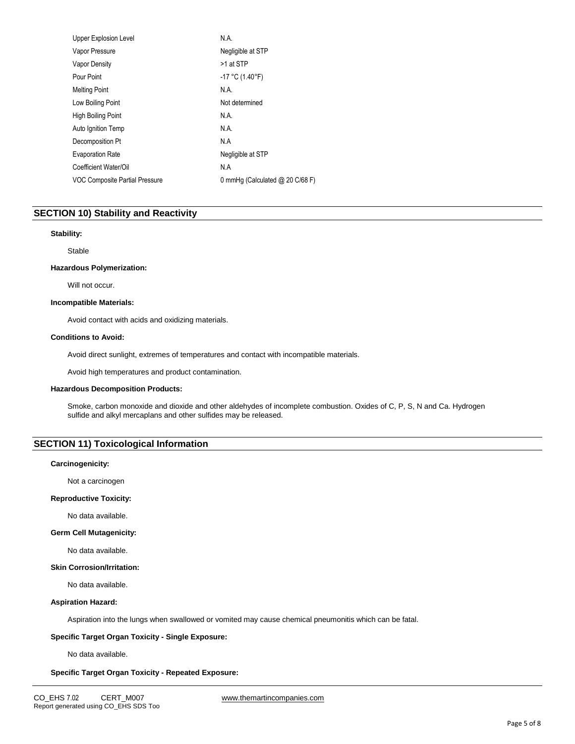| <b>Upper Explosion Level</b>   | N.A.                            |
|--------------------------------|---------------------------------|
| Vapor Pressure                 | Negligible at STP               |
| <b>Vapor Density</b>           | >1 at STP                       |
| Pour Point                     | $-17$ °C (1.40°F)               |
| <b>Melting Point</b>           | N.A.                            |
| Low Boiling Point              | Not determined                  |
| High Boiling Point             | N.A.                            |
| Auto Ignition Temp             | N.A.                            |
| Decomposition Pt               | N.A                             |
| <b>Evaporation Rate</b>        | Negligible at STP               |
| Coefficient Water/Oil          | N.A                             |
| VOC Composite Partial Pressure | 0 mmHg (Calculated @ 20 C/68 F) |
|                                |                                 |

# **SECTION 10) Stability and Reactivity**

#### **Stability:**

Stable

#### **Hazardous Polymerization:**

Will not occur.

#### **Incompatible Materials:**

Avoid contact with acids and oxidizing materials.

# **Conditions to Avoid:**

Avoid direct sunlight, extremes of temperatures and contact with incompatible materials.

Avoid high temperatures and product contamination.

#### **Hazardous Decomposition Products:**

Smoke, carbon monoxide and dioxide and other aldehydes of incomplete combustion. Oxides of C, P, S, N and Ca. Hydrogen sulfide and alkyl mercaplans and other sulfides may be released.

# **SECTION 11) Toxicological Information**

# **Carcinogenicity:**

Not a carcinogen

#### **Reproductive Toxicity:**

No data available.

## **Germ Cell Mutagenicity:**

No data available.

## **Skin Corrosion/Irritation:**

No data available.

#### **Aspiration Hazard:**

Aspiration into the lungs when swallowed or vomited may cause chemical pneumonitis which can be fatal.

## **Specific Target Organ Toxicity - Single Exposure:**

No data available.

## **Specific Target Organ Toxicity - Repeated Exposure:**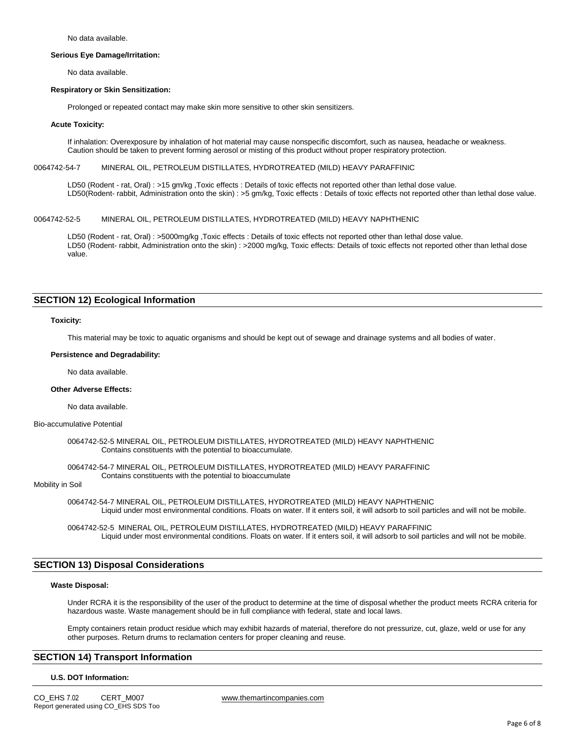No data available.

#### **Serious Eye Damage/Irritation:**

No data available.

#### **Respiratory or Skin Sensitization:**

Prolonged or repeated contact may make skin more sensitive to other skin sensitizers.

#### **Acute Toxicity:**

If inhalation: Overexposure by inhalation of hot material may cause nonspecific discomfort, such as nausea, headache or weakness. Caution should be taken to prevent forming aerosol or misting of this product without proper respiratory protection.

#### 0064742-54-7 MINERAL OIL, PETROLEUM DISTILLATES, HYDROTREATED (MILD) HEAVY PARAFFINIC

LD50 (Rodent - rat, Oral) : >15 gm/kg ,Toxic effects : Details of toxic effects not reported other than lethal dose value. LD50(Rodent- rabbit, Administration onto the skin) : >5 gm/kg, Toxic effects : Details of toxic effects not reported other than lethal dose value.

# 0064742-52-5 MINERAL OIL, PETROLEUM DISTILLATES, HYDROTREATED (MILD) HEAVY NAPHTHENIC

LD50 (Rodent - rat, Oral) : >5000mg/kg ,Toxic effects : Details of toxic effects not reported other than lethal dose value. LD50 (Rodent- rabbit, Administration onto the skin) : >2000 mg/kg, Toxic effects: Details of toxic effects not reported other than lethal dose value.

# **SECTION 12) Ecological Information**

#### **Toxicity:**

This material may be toxic to aquatic organisms and should be kept out of sewage and drainage systems and all bodies of water.

#### **Persistence and Degradability:**

No data available.

#### **Other Adverse Effects:**

No data available.

## Bio-accumulative Potential

0064742-52-5 MINERAL OIL, PETROLEUM DISTILLATES, HYDROTREATED (MILD) HEAVY NAPHTHENIC Contains constituents with the potential to bioaccumulate.

0064742-54-7 MINERAL OIL, PETROLEUM DISTILLATES, HYDROTREATED (MILD) HEAVY PARAFFINIC Contains constituents with the potential to bioaccumulate

# Mobility in Soil

0064742-54-7 MINERAL OIL, PETROLEUM DISTILLATES, HYDROTREATED (MILD) HEAVY NAPHTHENIC Liquid under most environmental conditions. Floats on water. If it enters soil, it will adsorb to soil particles and will not be mobile.

0064742-52-5 MINERAL OIL, PETROLEUM DISTILLATES, HYDROTREATED (MILD) HEAVY PARAFFINIC Liquid under most environmental conditions. Floats on water. If it enters soil, it will adsorb to soil particles and will not be mobile.

# **SECTION 13) Disposal Considerations**

#### **Waste Disposal:**

Under RCRA it is the responsibility of the user of the product to determine at the time of disposal whether the product meets RCRA criteria for hazardous waste. Waste management should be in full compliance with federal, state and local laws.

Empty containers retain product residue which may exhibit hazards of material, therefore do not pressurize, cut, glaze, weld or use for any other purposes. Return drums to reclamation centers for proper cleaning and reuse.

# **SECTION 14) Transport Information**

#### **U.S. DOT Information:**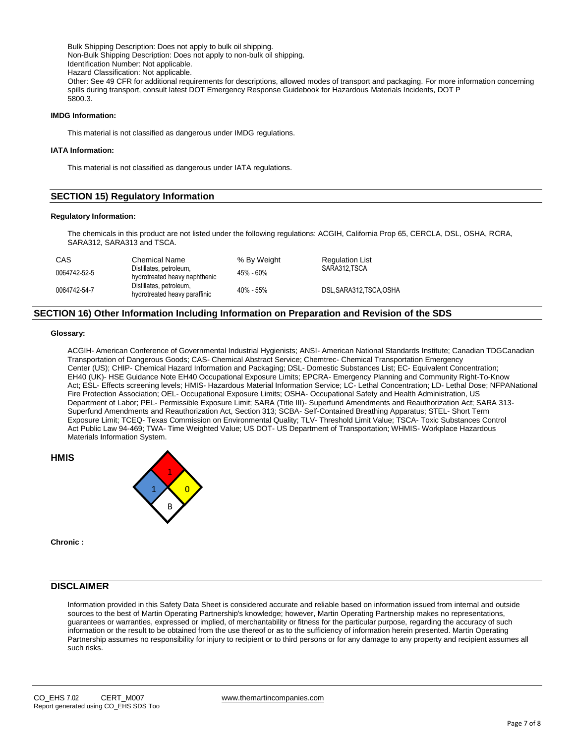Bulk Shipping Description: Does not apply to bulk oil shipping. Non-Bulk Shipping Description: Does not apply to non-bulk oil shipping. Identification Number: Not applicable. Hazard Classification: Not applicable. Other: See 49 CFR for additional requirements for descriptions, allowed modes of transport and packaging. For more information concerning spills during transport, consult latest DOT Emergency Response Guidebook for Hazardous Materials Incidents, DOT P 5800.3.

# **IMDG Information:**

This material is not classified as dangerous under IMDG regulations.

#### **IATA Information:**

This material is not classified as dangerous under IATA regulations.

# **SECTION 15) Regulatory Information**

#### **Regulatory Information:**

The chemicals in this product are not listed under the following regulations: ACGIH, California Prop 65, CERCLA, DSL, OSHA, RCRA, SARA312, SARA313 and TSCA.

| CAS          | <b>Chemical Name</b>                                     | % By Weight   | <b>Regulation List</b> |
|--------------|----------------------------------------------------------|---------------|------------------------|
| 0064742-52-5 | Distillates, petroleum,<br>hydrotreated heavy naphthenic | 45% - 60%     | SARA312.TSCA           |
| 0064742-54-7 | Distillates, petroleum,<br>hydrotreated heavy paraffinic | $40\% - 55\%$ | DSL.SARA312.TSCA.OSHA  |

# **SECTION 16) Other Information Including Information on Preparation and Revision of the SDS**

#### **Glossary:**

ACGIH- American Conference of Governmental Industrial Hygienists; ANSI- American National Standards Institute; Canadian TDGCanadian Transportation of Dangerous Goods; CAS- Chemical Abstract Service; Chemtrec- Chemical Transportation Emergency Center (US); CHIP- Chemical Hazard Information and Packaging; DSL- Domestic Substances List; EC- Equivalent Concentration; EH40 (UK)- HSE Guidance Note EH40 Occupational Exposure Limits; EPCRA- Emergency Planning and Community Right-To-Know Act; ESL- Effects screening levels; HMIS- Hazardous Material Information Service; LC- Lethal Concentration; LD- Lethal Dose; NFPANational Fire Protection Association; OEL- Occupational Exposure Limits; OSHA- Occupational Safety and Health Administration, US Department of Labor; PEL- Permissible Exposure Limit; SARA (Title III)- Superfund Amendments and Reauthorization Act; SARA 313- Superfund Amendments and Reauthorization Act, Section 313; SCBA- Self-Contained Breathing Apparatus; STEL- Short Term Exposure Limit; TCEQ- Texas Commission on Environmental Quality; TLV- Threshold Limit Value; TSCA- Toxic Substances Control Act Public Law 94-469; TWA- Time Weighted Value; US DOT- US Department of Transportation; WHMIS- Workplace Hazardous Materials Information System.



**Chronic :**

**HMIS**

# **DISCLAIMER**

Information provided in this Safety Data Sheet is considered accurate and reliable based on information issued from internal and outside sources to the best of Martin Operating Partnership's knowledge; however, Martin Operating Partnership makes no representations, guarantees or warranties, expressed or implied, of merchantability or fitness for the particular purpose, regarding the accuracy of such information or the result to be obtained from the use thereof or as to the sufficiency of information herein presented. Martin Operating Partnership assumes no responsibility for injury to recipient or to third persons or for any damage to any property and recipient assumes all such risks.